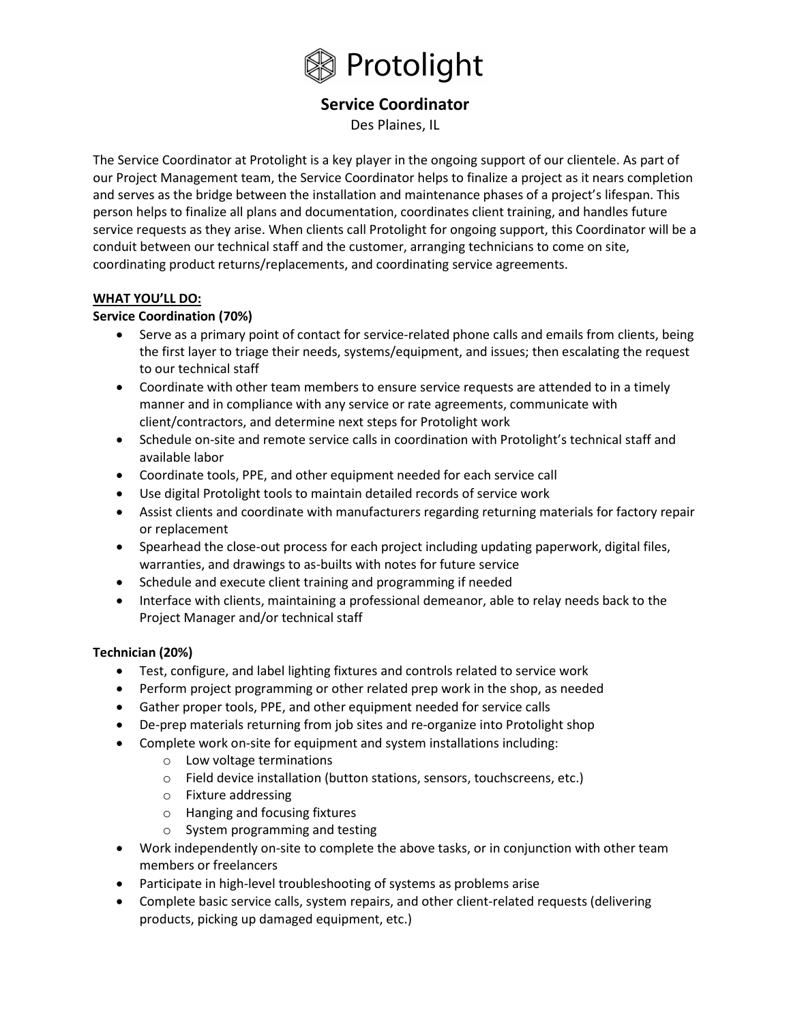

# Service Coordinator

Des Plaines, IL

The Service Coordinator at Protolight is a key player in the ongoing support of our clientele. As part of our Project Management team, the Service Coordinator helps to finalize a project as it nears completion and serves as the bridge between the installation and maintenance phases of a project's lifespan. This person helps to finalize all plans and documentation, coordinates client training, and handles future service requests as they arise. When clients call Protolight for ongoing support, this Coordinator will be a conduit between our technical staff and the customer, arranging technicians to come on site, coordinating product returns/replacements, and coordinating service agreements.

## WHAT YOU'LL DO:

## Service Coordination (70%)

- Serve as a primary point of contact for service-related phone calls and emails from clients, being the first layer to triage their needs, systems/equipment, and issues; then escalating the request to our technical staff
- Coordinate with other team members to ensure service requests are attended to in a timely manner and in compliance with any service or rate agreements, communicate with client/contractors, and determine next steps for Protolight work
- Schedule on-site and remote service calls in coordination with Protolight's technical staff and available labor
- Coordinate tools, PPE, and other equipment needed for each service call
- Use digital Protolight tools to maintain detailed records of service work
- Assist clients and coordinate with manufacturers regarding returning materials for factory repair or replacement
- Spearhead the close-out process for each project including updating paperwork, digital files, warranties, and drawings to as-builts with notes for future service
- Schedule and execute client training and programming if needed
- Interface with clients, maintaining a professional demeanor, able to relay needs back to the Project Manager and/or technical staff

## Technician (20%)

- Test, configure, and label lighting fixtures and controls related to service work
- Perform project programming or other related prep work in the shop, as needed
- Gather proper tools, PPE, and other equipment needed for service calls
- De-prep materials returning from job sites and re-organize into Protolight shop
- Complete work on-site for equipment and system installations including:
	- o Low voltage terminations
	- o Field device installation (button stations, sensors, touchscreens, etc.)
	- o Fixture addressing
	- o Hanging and focusing fixtures
	- o System programming and testing
- Work independently on-site to complete the above tasks, or in conjunction with other team members or freelancers
- Participate in high-level troubleshooting of systems as problems arise
- Complete basic service calls, system repairs, and other client-related requests (delivering products, picking up damaged equipment, etc.)